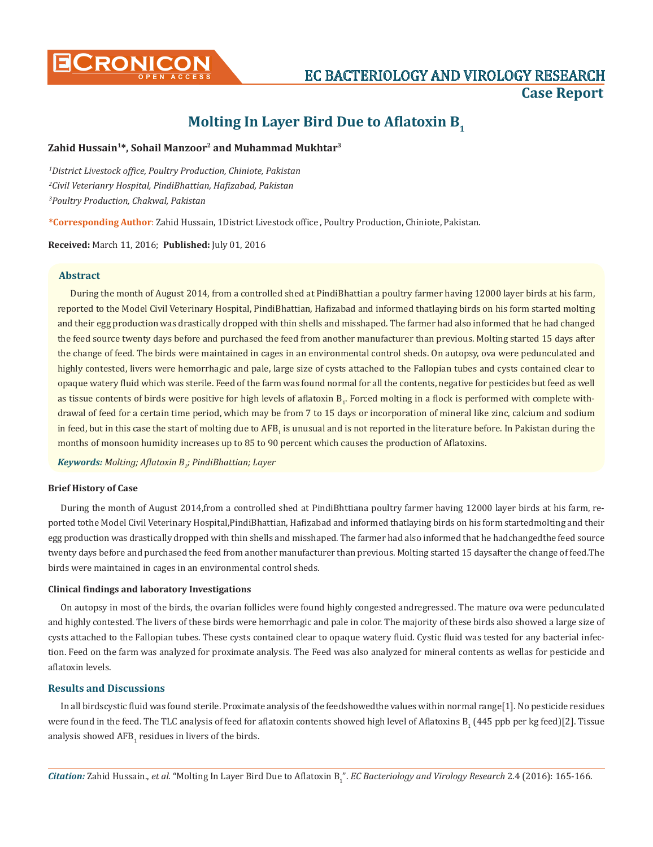

# **Molting In Layer Bird Due to Aflatoxin B<sup>1</sup>**

# **Zahid Hussain1\*, Sohail Manzoor2 and Muhammad Mukhtar3**

*1 District Livestock office, Poultry Production, Chiniote, Pakistan 2 Civil Veterianry Hospital, PindiBhattian, Hafizabad, Pakistan 3 Poultry Production, Chakwal, Pakistan*

**\*Corresponding Author**: Zahid Hussain, 1District Livestock office , Poultry Production, Chiniote, Pakistan.

**Received:** March 11, 2016; **Published:** July 01, 2016

## **Abstract**

During the month of August 2014, from a controlled shed at PindiBhattian a poultry farmer having 12000 layer birds at his farm, reported to the Model Civil Veterinary Hospital, PindiBhattian, Hafizabad and informed thatlaying birds on his form started molting and their egg production was drastically dropped with thin shells and misshaped. The farmer had also informed that he had changed the feed source twenty days before and purchased the feed from another manufacturer than previous. Molting started 15 days after the change of feed. The birds were maintained in cages in an environmental control sheds. On autopsy, ova were pedunculated and highly contested, livers were hemorrhagic and pale, large size of cysts attached to the Fallopian tubes and cysts contained clear to opaque watery fluid which was sterile. Feed of the farm was found normal for all the contents, negative for pesticides but feed as well as tissue contents of birds were positive for high levels of aflatoxin  $B_i$ . Forced molting in a flock is performed with complete withdrawal of feed for a certain time period, which may be from 7 to 15 days or incorporation of mineral like zinc, calcium and sodium in feed, but in this case the start of molting due to  $\rm AFB_1$  is unusual and is not reported in the literature before. In Pakistan during the months of monsoon humidity increases up to 85 to 90 percent which causes the production of Aflatoxins.

*Keywords: Molting; Aflatoxin B<sup>1</sup> ; PindiBhattian; Layer*

### **Brief History of Case**

During the month of August 2014,from a controlled shed at PindiBhttiana poultry farmer having 12000 layer birds at his farm, reported tothe Model Civil Veterinary Hospital,PindiBhattian, Hafizabad and informed thatlaying birds on his form startedmolting and their egg production was drastically dropped with thin shells and misshaped. The farmer had also informed that he hadchangedthe feed source twenty days before and purchased the feed from another manufacturer than previous. Molting started 15 daysafter the change of feed.The birds were maintained in cages in an environmental control sheds.

# **Clinical findings and laboratory Investigations**

On autopsy in most of the birds, the ovarian follicles were found highly congested andregressed. The mature ova were pedunculated and highly contested. The livers of these birds were hemorrhagic and pale in color. The majority of these birds also showed a large size of cysts attached to the Fallopian tubes. These cysts contained clear to opaque watery fluid. Cystic fluid was tested for any bacterial infection. Feed on the farm was analyzed for proximate analysis. The Feed was also analyzed for mineral contents as wellas for pesticide and aflatoxin levels.

### **Results and Discussions**

In all birdscystic fluid was found sterile. Proximate analysis of the feedshowedthe values within normal range[1]. No pesticide residues were found in the feed. The TLC analysis of feed for aflatoxin contents showed high level of Aflatoxins  $B_1$  (445 ppb per kg feed)[2]. Tissue analysis showed  $\rm{AFB}_{1}$  residues in livers of the birds.

*Citation:* Zahid Hussain., *et al*. "Molting In Layer Bird Due to Aflatoxin B<sup>1</sup> ". *EC Bacteriology and Virology Research* 2.4 (2016): 165-166.